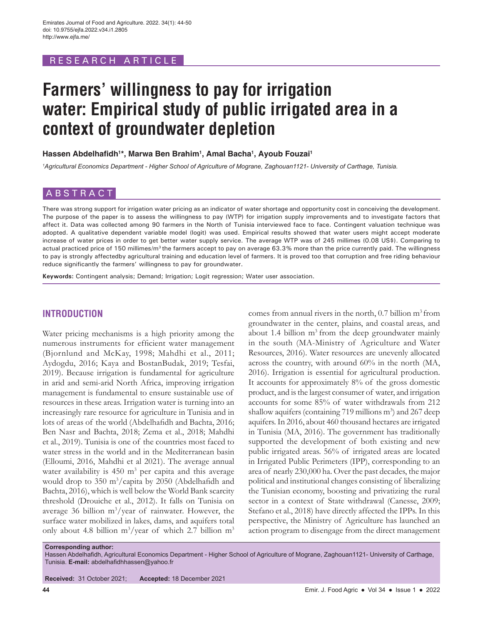## RESEARCH ARTICLE

# **Farmers' willingness to pay for irrigation water: Empirical study of public irrigated area in a context of groundwater depletion**

**Hassen Abdelhafidh<sup>1</sup> \*, Marwa Ben Brahim1 , Amal Bacha1 , Ayoub Fouzai1**

*1 Agricultural Economics Department - Higher School of Agriculture of Mograne, Zaghouan1121- University of Carthage, Tunisia.*

## ABSTRACT

There was strong support for irrigation water pricing as an indicator of water shortage and opportunity cost in conceiving the development. The purpose of the paper is to assess the willingness to pay (WTP) for irrigation supply improvements and to investigate factors that affect it. Data was collected among 90 farmers in the North of Tunisia interviewed face to face. Contingent valuation technique was adopted. A qualitative dependent variable model (logit) was used. Empirical results showed that water users might accept moderate increase of water prices in order to get better water supply service. The average WTP was of 245 millimes (0.08 US\$). Comparing to actual practiced price of 150 millimes/m<sup>3</sup> the farmers accept to pay on average 63.3% more than the price currently paid. The willingness to pay is strongly affectedby agricultural training and education level of farmers. It is proved too that corruption and free riding behaviour reduce significantly the farmers' willingness to pay for groundwater.

**Keywords:** Contingent analysis; Demand; Irrigation; Logit regression; Water user association.

## **INTRODUCTION**

Water pricing mechanisms is a high priority among the numerous instruments for efficient water management (Bjornlund and McKay, 1998; Mahdhi et al., 2011; Aydogdu, 2016; Kaya and BostanBudak, 2019; Tesfai, 2019). Because irrigation is fundamental for agriculture in arid and semi-arid North Africa, improving irrigation management is fundamental to ensure sustainable use of resources in these areas. Irrigation water is turning into an increasingly rare resource for agriculture in Tunisia and in lots of areas of the world (Abdelhafidh and Bachta, 2016; Ben Nasr and Bachta, 2018; Zema et al., 2018; Mahdhi et al., 2019). Tunisia is one of the countries most faced to water stress in the world and in the Mediterranean basin (Elloumi, 2016, Mahdhi et al 2021). The average annual water availability is  $450 \text{ m}^3$  per capita and this average would drop to 350 m<sup>3</sup>/capita by 2050 (Abdelhafidh and Bachta, 2016), which is well below the World Bank scarcity threshold (Drouiche et al., 2012). It falls on Tunisia on average 36 billion  $m^3$ /year of rainwater. However, the surface water mobilized in lakes, dams, and aquifers total only about 4.8 billion  $m^3$ /year of which 2.7 billion  $m^3$ 

comes from annual rivers in the north,  $0.7$  billion m<sup>3</sup> from groundwater in the center, plains, and coastal areas, and about 1.4 billion  $m<sup>3</sup>$  from the deep groundwater mainly in the south (MA-Ministry of Agriculture and Water Resources, 2016). Water resources are unevenly allocated across the country, with around 60% in the north (MA, 2016). Irrigation is essential for agricultural production. It accounts for approximately 8% of the gross domestic product, and is the largest consumer of water, and irrigation accounts for some 85% of water withdrawals from 212 shallow aquifers (containing 719 millions m<sup>3</sup>) and 267 deep aquifers. In 2016, about 460 thousand hectares are irrigated in Tunisia (MA, 2016). The government has traditionally supported the development of both existing and new public irrigated areas. 56% of irrigated areas are located in Irrigated Public Perimeters (IPP), corresponding to an area of nearly 230,000 ha. Over the past decades, the major political and institutional changes consisting of liberalizing the Tunisian economy, boosting and privatizing the rural sector in a context of State withdrawal (Canesse, 2009; Stefano et al., 2018) have directly affected the IPPs. In this perspective, the Ministry of Agriculture has launched an action program to disengage from the direct management

**Corresponding author:**

**Received:** 31 October 2021; **Accepted:** 18 December 2021

Hassen Abdelhafidh, Agricultural Economics Department - Higher School of Agriculture of Mograne, Zaghouan1121- University of Carthage, Tunisia. **E-mail:** abdelhafidhhassen@yahoo.fr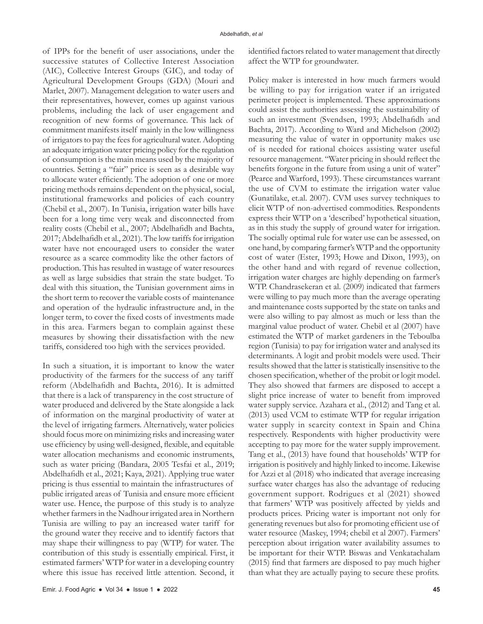of IPPs for the benefit of user associations, under the successive statutes of Collective Interest Association (AIC), Collective Interest Groups (GIC), and today of Agricultural Development Groups (GDA) (Mouri and Marlet, 2007). Management delegation to water users and their representatives, however, comes up against various problems, including the lack of user engagement and recognition of new forms of governance. This lack of commitment manifests itself mainly in the low willingness of irrigators to pay the fees for agricultural water. Adopting an adequate irrigation water pricing policy for the regulation of consumption is the main means used by the majority of countries. Setting a "fair" price is seen as a desirable way to allocate water efficiently. The adoption of one or more pricing methods remains dependent on the physical, social, institutional frameworks and policies of each country (Chebil et al., 2007). In Tunisia, irrigation water bills have been for a long time very weak and disconnected from reality costs (Chebil et al., 2007; Abdelhafidh and Bachta, 2017; Abdelhafidh et al., 2021). The low tariffs for irrigation water have not encouraged users to consider the water resource as a scarce commodity like the other factors of production. This has resulted in wastage of water resources as well as large subsidies that strain the state budget. To deal with this situation, the Tunisian government aims in the short term to recover the variable costs of maintenance and operation of the hydraulic infrastructure and, in the longer term, to cover the fixed costs of investments made in this area. Farmers began to complain against these measures by showing their dissatisfaction with the new tariffs, considered too high with the services provided.

In such a situation, it is important to know the water productivity of the farmers for the success of any tariff reform (Abdelhafidh and Bachta, 2016). It is admitted that there is a lack of transparency in the cost structure of water produced and delivered by the State alongside a lack of information on the marginal productivity of water at the level of irrigating farmers. Alternatively, water policies should focus more on minimizing risks and increasing water use efficiency by using well-designed, flexible, and equitable water allocation mechanisms and economic instruments, such as water pricing (Bandara, 2005 Tesfai et al., 2019; Abdelhafidh et al., 2021; Kaya, 2021). Applying true water pricing is thus essential to maintain the infrastructures of public irrigated areas of Tunisia and ensure more efficient water use. Hence, the purpose of this study is to analyze whether farmers in the Nadhour irrigated area in Northern Tunisia are willing to pay an increased water tariff for the ground water they receive and to identify factors that may shape their willingness to pay (WTP) for water. The contribution of this study is essentially empirical. First, it estimated farmers' WTP for water in a developing country where this issue has received little attention. Second, it

identified factors related to water management that directly affect the WTP for groundwater.

Policy maker is interested in how much farmers would be willing to pay for irrigation water if an irrigated perimeter project is implemented. These approximations could assist the authorities assessing the sustainability of such an investment (Svendsen, 1993; Abdelhafidh and Bachta, 2017). According to Ward and Michelson (2002) measuring the value of water in opportunity makes use of is needed for rational choices assisting water useful resource management. "Water pricing in should reflect the benefits forgone in the future from using a unit of water" (Pearce and Warford, 1993). These circumstances warrant the use of CVM to estimate the irrigation water value (Gunatilake, et.al. 2007). CVM uses survey techniques to elicit WTP of non-advertised commodities. Respondents express their WTP on a 'described' hypothetical situation, as in this study the supply of ground water for irrigation. The socially optimal rule for water use can be assessed, on one hand, by comparing farmer's WTP and the opportunity cost of water (Ester, 1993; Howe and Dixon, 1993), on the other hand and with regard of revenue collection, irrigation water charges are highly depending on farmer's WTP. Chandrasekeran et al. (2009) indicated that farmers were willing to pay much more than the average operating and maintenance costs supported by the state on tanks and were also willing to pay almost as much or less than the marginal value product of water. Chebil et al (2007) have estimated the WTP of market gardeners in the Teboulba region (Tunisia) to pay for irrigation water and analysed its determinants. A logit and probit models were used. Their results showed that the latter is statistically insensitive to the chosen specification, whether of the probit or logit model. They also showed that farmers are disposed to accept a slight price increase of water to benefit from improved water supply service. Azahara et al., (2012) and Tang et al. (2013) used VCM to estimate WTP for regular irrigation water supply in scarcity context in Spain and China respectively. Respondents with higher productivity were accepting to pay more for the water supply improvement. Tang et al., (2013) have found that households' WTP for irrigation is positively and highly linked to income. Likewise for Azzi et al (2018) who indicated that average increasing surface water charges has also the advantage of reducing government support. Rodrigues et al (2021) showed that farmers' WTP was positively affected by yields and products prices. Pricing water is important not only for generating revenues but also for promoting efficient use of water resource (Maskey, 1994; chebil et al 2007). Farmers' perception about irrigation water availability assumes to be important for their WTP. Biswas and Venkatachalam (2015) find that farmers are disposed to pay much higher than what they are actually paying to secure these profits.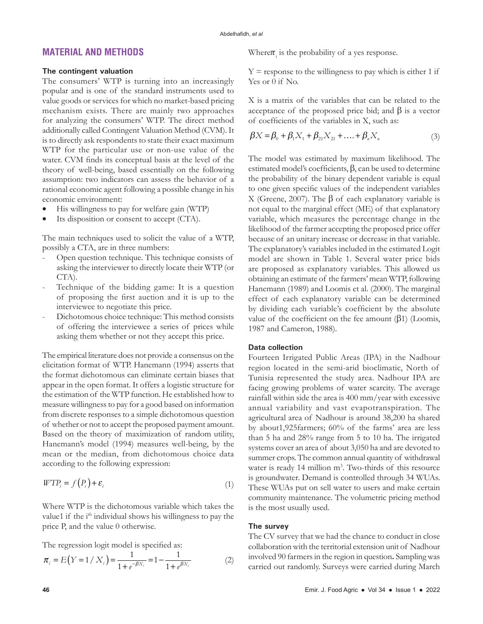## **MATERIAL AND METHODS**

#### **The contingent valuation**

The consumers' WTP is turning into an increasingly popular and is one of the standard instruments used to value goods or services for which no market-based pricing mechanism exists. There are mainly two approaches for analyzing the consumers' WTP. The direct method additionally called Contingent Valuation Method (CVM). It is to directly ask respondents to state their exact maximum WTP for the particular use or non-use value of the water. CVM finds its conceptual basis at the level of the theory of well-being, based essentially on the following assumption: two indicators can assess the behavior of a rational economic agent following a possible change in his economic environment:

- His willingness to pay for welfare gain (WTP)
- Its disposition or consent to accept (CTA).

The main techniques used to solicit the value of a WTP, possibly a CTA, are in three numbers:

- Open question technique. This technique consists of asking the interviewer to directly locate their WTP (or CTA).
- Technique of the bidding game: It is a question of proposing the first auction and it is up to the interviewee to negotiate this price.
- Dichotomous choice technique: This method consists of offering the interviewee a series of prices while asking them whether or not they accept this price.

The empirical literature does not provide a consensus on the elicitation format of WTP. Hanemann (1994) asserts that the format dichotomous can eliminate certain biases that appear in the open format. It offers a logistic structure for the estimation of the WTP function. He established how to measure willingness to pay for a good based on information from discrete responses to a simple dichotomous question of whether or not to accept the proposed payment amount. Based on the theory of maximization of random utility, Hanemann's model (1994) measures well-being, by the mean or the median, from dichotomous choice data according to the following expression:

$$
WTP_i = f(P_i) + \varepsilon_i \tag{1}
$$

Where WTP is the dichotomous variable which takes the value1 if the i<sup>th</sup> individual shows his willingness to pay the price P, and the value 0 otherwise.

The regression logit model is specified as:

$$
\pi_i = E(Y = 1 / X_i) = \frac{1}{1 + e^{-\beta X_i}} = 1 - \frac{1}{1 + e^{\beta X_i}}
$$
(2)

Where  $\pi$ <sub>i</sub> is the probability of a yes response.

 $Y =$  response to the willingness to pay which is either 1 if Yes or 0 if No.

X is a matrix of the variables that can be related to the acceptance of the proposed price bid; and  $\beta$  is a vector of coefficients of the variables in X, such as:

$$
\beta X = \beta_0 + \beta_1 X_1 + \beta_{21} X_{21} + \dots + \beta_n X_n \tag{3}
$$

The model was estimated by maximum likelihood. The estimated model's coefficients, β, can be used to determine the probability of the binary dependent variable is equal to one given specific values of the independent variables X (Greene, 2007). The β of each explanatory variable is not equal to the marginal effect (ME) of that explanatory variable, which measures the percentage change in the likelihood of the farmer accepting the proposed price offer because of an unitary increase or decrease in that variable. The explanatory's variables included in the estimated Logit model are shown in Table 1. Several water price bids are proposed as explanatory variables. This allowed us obtaining an estimate of the farmers' mean WTP, following Hanemann (1989) and Loomis et al. (2000). The marginal effect of each explanatory variable can be determined by dividing each variable's coefficient by the absolute value of the coefficient on the fee amount (β1) (Loomis, 1987 and Cameron, 1988).

### **Data collection**

Fourteen Irrigated Public Areas (IPA) in the Nadhour region located in the semi-arid bioclimatic, North of Tunisia represented the study area. Nadhour IPA are facing growing problems of water scarcity. The average rainfall within side the area is 400 mm/year with excessive annual variability and vast evapotranspiration. The agricultural area of Nadhour is around 38,200 ha shared by about1,925farmers; 60% of the farms' area are less than 5 ha and 28% range from 5 to 10 ha. The irrigated systems cover an area of about 3,050 ha and are devoted to summer crops. The common annual quantity of withdrawal water is ready 14 million m<sup>3</sup>. Two-thirds of this resource is groundwater. Demand is controlled through 34 WUAs. These WUAs put on sell water to users and make certain community maintenance. The volumetric pricing method is the most usually used.

#### **The survey**

The CV survey that we had the chance to conduct in close collaboration with the territorial extension unit of Nadhour involved 90 farmers in the region in question**.** Sampling was carried out randomly. Surveys were carried during March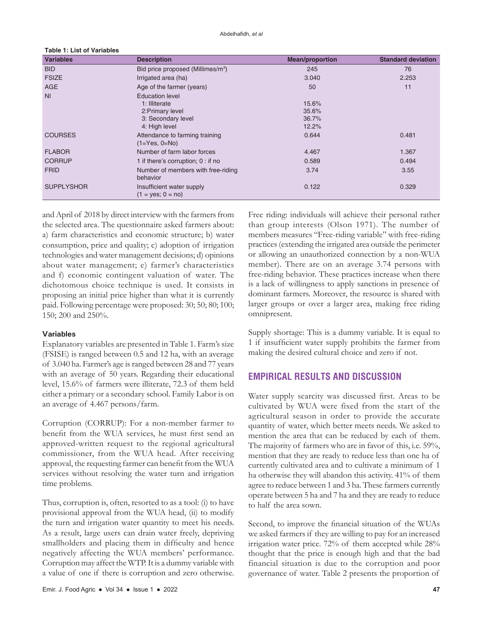| <b>Variables</b>  | <b>Description</b>                                | <b>Mean/proportion</b> | <b>Standard deviation</b> |
|-------------------|---------------------------------------------------|------------------------|---------------------------|
| <b>BID</b>        | Bid price proposed (Millimes/m <sup>3</sup> )     | 245                    | 76                        |
| <b>FSIZE</b>      | Irrigated area (ha)                               | 3.040                  | 2.253                     |
| <b>AGE</b>        | Age of the farmer (years)                         | 50                     | 11                        |
| N <sub>l</sub>    | <b>Education level</b>                            |                        |                           |
|                   | 1: Illiterate                                     | 15.6%                  |                           |
|                   | 2: Primary level                                  | 35.6%                  |                           |
|                   | 3: Secondary level                                | 36.7%                  |                           |
|                   | 4: High level                                     | 12.2%                  |                           |
| <b>COURSES</b>    | Attendance to farming training<br>$(1=Yes, 0=No)$ | 0.644                  | 0.481                     |
| <b>FLABOR</b>     | Number of farm labor forces                       | 4.467                  | 1.367                     |
| <b>CORRUP</b>     | 1 if there's corruption; 0 : if no                | 0.589                  | 0.494                     |
| <b>FRID</b>       | Number of members with free-riding<br>behavior    | 3.74                   | 3.55                      |
| <b>SUPPLYSHOR</b> | Insufficient water supply<br>$(1 = yes; 0 = no)$  | 0.122                  | 0.329                     |

and April of 2018 by direct interview with the farmers from the selected area. The questionnaire asked farmers about: a) farm characteristics and economic structure; b) water consumption, price and quality; c) adoption of irrigation technologies and water management decisions; d) opinions about water management; e) farmer's characteristics and f) economic contingent valuation of water. The dichotomous choice technique is used. It consists in proposing an initial price higher than what it is currently paid. Following percentage were proposed: 30; 50; 80; 100; 150; 200 and 250%.

#### **Variables**

**Table 1: List of Variables**

Explanatory variables are presented in Table 1. Farm's size (FSISE) is ranged between 0.5 and 12 ha, with an average of 3.040 ha. Farmer's age is ranged between 28 and 77 years with an average of 50 years. Regarding their educational level, 15.6% of farmers were illiterate, 72.3 of them held either a primary or a secondary school. Family Labor is on an average of 4.467 persons/farm.

Corruption (CORRUP): For a non-member farmer to benefit from the WUA services, he must first send an approved-written request to the regional agricultural commissioner, from the WUA head. After receiving approval, the requesting farmer can benefit from the WUA services without resolving the water turn and irrigation time problems.

Thus, corruption is, often, resorted to as a tool: (i) to have provisional approval from the WUA head, (ii) to modify the turn and irrigation water quantity to meet his needs. As a result, large users can drain water freely, depriving smallholders and placing them in difficulty and hence negatively affecting the WUA members' performance. Corruption may affect the WTP. It is a dummy variable with a value of one if there is corruption and zero otherwise.

Free riding: individuals will achieve their personal rather than group interests (Olson 1971). The number of members measures "Free-riding variable" with free-riding practices (extending the irrigated area outside the perimeter or allowing an unauthorized connection by a non-WUA member). There are on an average 3.74 persons with free-riding behavior. These practices increase when there is a lack of willingness to apply sanctions in presence of dominant farmers. Moreover, the resource is shared with larger groups or over a larger area, making free riding omnipresent.

Supply shortage: This is a dummy variable. It is equal to 1 if insufficient water supply prohibits the farmer from making the desired cultural choice and zero if not.

## **EMPIRICAL RESULTS AND DISCUSSION**

Water supply scarcity was discussed first. Areas to be cultivated by WUA were fixed from the start of the agricultural season in order to provide the accurate quantity of water, which better meets needs. We asked to mention the area that can be reduced by each of them. The majority of farmers who are in favor of this, i.e. 59%, mention that they are ready to reduce less than one ha of currently cultivated area and to cultivate a minimum of 1 ha otherwise they will abandon this activity. 41% of them agree to reduce between 1 and 3 ha. These farmers currently operate between 5 ha and 7 ha and they are ready to reduce to half the area sown.

Second, to improve the financial situation of the WUAs we asked farmers if they are willing to pay for an increased irrigation water price. 72% of them accepted while 28% thought that the price is enough high and that the bad financial situation is due to the corruption and poor governance of water. Table 2 presents the proportion of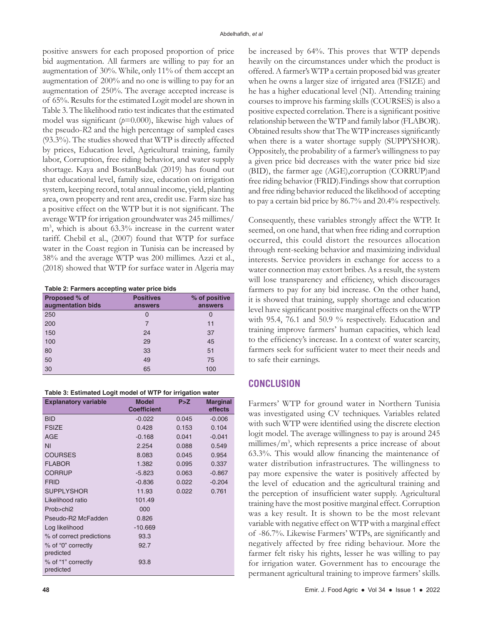positive answers for each proposed proportion of price bid augmentation. All farmers are willing to pay for an augmentation of 30%. While, only 11% of them accept an augmentation of 200% and no one is willing to pay for an augmentation of 250%. The average accepted increase is of 65%. Results for the estimated Logit model are shown in Table 3. The likelihood ratio test indicates that the estimated model was significant (*p*=0.000), likewise high values of the pseudo-*R*2 and the high percentage of sampled cases (93.3%). The studies showed that WTP is directly affected by prices, Education level, Agricultural training, family labor, Corruption, free riding behavior, and water supply shortage. Kaya and BostanBudak (2019) has found out that educational level, family size, education on irrigation system, keeping record, total annual income, yield, planting area, own property and rent area, credit use. Farm size has a positive effect on the WTP but it is not significant. The average WTP for irrigation groundwater was 245 millimes/ m3 , which is about 63.3% increase in the current water tariff. Chebil et al., (2007) found that WTP for surface water in the Coast region in Tunisia can be increased by 38% and the average WTP was 200 millimes. Azzi et al., (2018) showed that WTP for surface water in Algeria may

**Table 2: Farmers accepting water price bids**

| Proposed % of<br>augmentation bids | <b>Positives</b><br>answers | % of positive<br>answers |
|------------------------------------|-----------------------------|--------------------------|
| 250                                | 0                           | $\mathcal{L}$            |
| 200                                | 7                           | 11                       |
| 150                                | 24                          | 37                       |
| 100                                | 29                          | 45                       |
| 80                                 | 33                          | 51                       |
| 50                                 | 49                          | 75                       |
| 30                                 | 65                          | 100                      |

| <b>Explanatory variable</b>     | <b>Model</b><br><b>Coefficient</b> | P > Z | <b>Marginal</b><br>effects |
|---------------------------------|------------------------------------|-------|----------------------------|
| <b>BID</b>                      | $-0.022$                           | 0.045 | $-0.006$                   |
| <b>FSIZE</b>                    | 0.428                              | 0.153 | 0.104                      |
| <b>AGE</b>                      | $-0.168$                           | 0.041 | $-0.041$                   |
| <b>NI</b>                       | 2.254                              | 0.088 | 0.549                      |
| <b>COURSES</b>                  | 8.083                              | 0.045 | 0.954                      |
| <b>FLABOR</b>                   | 1.382                              | 0.095 | 0.337                      |
| <b>CORRUP</b>                   | $-5.823$                           | 0.063 | $-0.867$                   |
| <b>FRID</b>                     | $-0.836$                           | 0.022 | $-0.204$                   |
| <b>SUPPLYSHOR</b>               | 11.93                              | 0.022 | 0.761                      |
| Likelihood ratio                | 101.49                             |       |                            |
| Prob>chi2                       | 000                                |       |                            |
| Pseudo-R2 McFadden              | 0.826                              |       |                            |
| Log likelihood                  | $-10.669$                          |       |                            |
| % of correct predictions        | 93.3                               |       |                            |
| % of "0" correctly<br>predicted | 92.7                               |       |                            |
| % of "1" correctly<br>predicted | 93.8                               |       |                            |

be increased by 64%. This proves that WTP depends heavily on the circumstances under which the product is offered. A farmer's WTP a certain proposed bid was greater when he owns a larger size of irrigated area (FSIZE) and he has a higher educational level (NI). Attending training courses to improve his farming skills (COURSES) is also a positive expected correlation. There is a significant positive relationship between the WTP and family labor (FLABOR). Obtained results show that The WTP increases significantly when there is a water shortage supply (SUPPYSHOR). Oppositely, the probability of a farmer's willingness to pay a given price bid decreases with the water price bid size (BID), the farmer age (AGE),corruption (CORRUP)and free riding behavior (FRID).Findings show that corruption and free riding behavior reduced the likelihood of accepting to pay a certain bid price by 86.7% and 20.4% respectively.

Consequently, these variables strongly affect the WTP. It seemed, on one hand, that when free riding and corruption occurred, this could distort the resources allocation through rent-seeking behavior and maximizing individual interests. Service providers in exchange for access to a water connection may extort bribes. As a result, the system will lose transparency and efficiency, which discourages farmers to pay for any bid increase. On the other hand, it is showed that training, supply shortage and education level have significant positive marginal effects on the WTP with 95.4, 76.1 and 50.9 % respectively. Education and training improve farmers' human capacities, which lead to the efficiency's increase. In a context of water scarcity, farmers seek for sufficient water to meet their needs and to safe their earnings.

## **CONCLUSION**

Farmers' WTP for ground water in Northern Tunisia was investigated using CV techniques. Variables related with such WTP were identified using the discrete election logit model. The average willingness to pay is around 245 millimes/m3 , which represents a price increase of about 63.3%. This would allow financing the maintenance of water distribution infrastructures. The willingness to pay more expensive the water is positively affected by the level of education and the agricultural training and the perception of insufficient water supply. Agricultural training have the most positive marginal effect. Corruption was a key result. It is shown to be the most relevant variable with negative effect on WTP with a marginal effect of -86.7%. Likewise Farmers' WTPs, are significantly and negatively affected by free riding behaviour. More the farmer felt risky his rights, lesser he was willing to pay for irrigation water. Government has to encourage the permanent agricultural training to improve farmers' skills.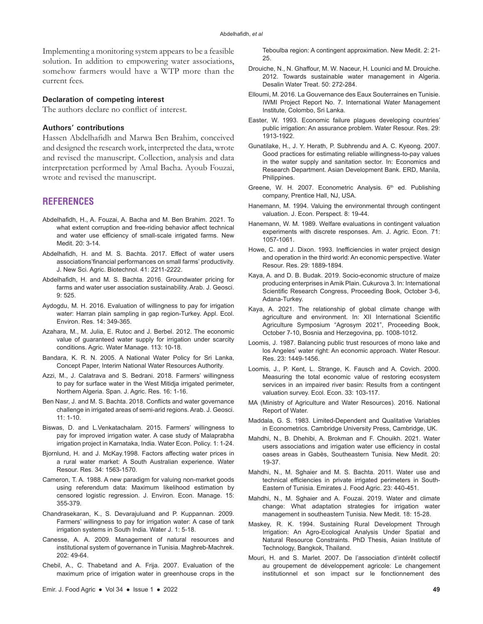Implementing a monitoring system appears to be a feasible solution. In addition to empowering water associations, somehow farmers would have a WTP more than the current fees.

#### **Declaration of competing interest**

The authors declare no conflict of interest.

#### **Authors' contributions**

Hassen Abdelhafidh and Marwa Ben Brahim, conceived and designed the research work, interpreted the data, wrote and revised the manuscript. Collection, analysis and data interpretation performed by Amal Bacha. Ayoub Fouzai, wrote and revised the manuscript.

#### **REFERENCES**

- Abdelhafidh, H., A. Fouzai, A. Bacha and M. Ben Brahim. 2021. To what extent corruption and free-riding behavior affect technical and water use efficiency of small-scale irrigated farms. New Medit. 20: 3-14.
- Abdelhafidh, H. and M. S. Bachta. 2017. Effect of water users associations'financial performances on small farms' productivity. J. New Sci. Agric. Biotechnol. 41: 2211-2222.
- Abdelhafidh, H. and M. S. Bachta. 2016. Groundwater pricing for farms and water user association sustainability. Arab. J. Geosci. 9: 525.
- Aydogdu, M. H. 2016. Evaluation of willingness to pay for irrigation water: Harran plain sampling in gap region-Turkey. Appl. Ecol. Environ. Res. 14: 349-365.
- Azahara, M., M. Julia, E. Rutoc and J. Berbel. 2012. The economic value of guaranteed water supply for irrigation under scarcity conditions. Agric. Water Manage. 113: 10-18.
- Bandara, K. R. N. 2005. A National Water Policy for Sri Lanka, Concept Paper, Interim National Water Resources Authority.
- Azzi, M., J. Calatrava and S. Bedrani. 2018. Farmers' willingness to pay for surface water in the West Mitidja irrigated perimeter, Northern Algeria. Span. J. Agric. Res. 16: 1-16.
- Ben Nasr, J. and M. S. Bachta. 2018. Conflicts and water governance challenge in irrigated areas of semi-arid regions. Arab. J. Geosci. 11: 1-10.
- Biswas, D. and L.Venkatachalam. 2015. Farmers' willingness to pay for improved irrigation water. A case study of Malaprabha irrigation project in Karnataka, India. Water Econ. Policy. 1: 1-24.
- Bjornlund, H. and J. McKay.1998. Factors affecting water prices in a rural water market: A South Australian experience. Water Resour. Res. 34: 1563-1570.
- Cameron, T. A. 1988. A new paradigm for valuing non-market goods using referendum data: Maximum likelihood estimation by censored logistic regression. J. Environ. Econ. Manage. 15: 355-379.
- Chandrasekaran, K., S. Devarajuluand and P. Kuppannan. 2009. Farmers' willingness to pay for irrigation water: A case of tank irrigation systems in South India. Water J. 1: 5-18.
- Canesse, A. A. 2009. Management of natural resources and institutional system of governance in Tunisia. Maghreb-Machrek. 202: 49-64.
- Chebil, A., C. Thabetand and A. Frija. 2007. Evaluation of the maximum price of irrigation water in greenhouse crops in the

Teboulba region: A contingent approximation. New Medit. 2: 21- 25.

- Drouiche, N., N. Ghaffour, M. W. Naceur, H. Lounici and M. Drouiche. 2012. Towards sustainable water management in Algeria. Desalin Water Treat. 50: 272-284.
- Elloumi, M. 2016. La Gouvernance des Eaux Souterraines en Tunisie. IWMI Project Report No. 7. International Water Management Institute, Colombo, Sri Lanka.
- Easter, W. 1993. Economic failure plagues developing countries' public irrigation: An assurance problem. Water Resour. Res. 29: 1913-1922.
- Gunatilake, H., J. Y. Herath, P. Subhrendu and A. C. Kyeong. 2007. Good practices for estimating reliable willingness-to-pay values in the water supply and sanitation sector. In: Economics and Research Department. Asian Development Bank. ERD, Manila, Philippines.
- Greene, W. H. 2007. Econometric Analysis. 6<sup>th</sup> ed. Publishing company, Prentice Hall, NJ, USA.
- Hanemann, M. 1994. Valuing the environmental through contingent valuation. J. Econ. Perspect. 8: 19-44.
- Hanemann, W. M. 1989. Welfare evaluations in contingent valuation experiments with discrete responses. Am. J. Agric. Econ. 71: 1057-1061.
- Howe, C. and J. Dixon. 1993. Inefficiencies in water project design and operation in the third world: An economic perspective. Water Resour. Res. 29: 1889-1894.
- Kaya, A. and D. B. Budak. 2019. Socio-economic structure of maize producing enterprises in Amik Plain. Cukurova 3. In: International Scientific Research Congress, Proceeding Book, October 3-6, Adana-Turkey.
- Kaya, A. 2021. The relationship of global climate change with agriculture and environment. In: XII International Scientific Agriculture Symposium "Agrosym 2021", Proceeding Book, October 7-10, Bosnia and Herzegovina, pp. 1008-1012.
- Loomis, J. 1987. Balancing public trust resources of mono lake and los Angeles' water right: An economic approach. Water Resour. Res. 23: 1449-1456.
- Loomis, J., P. Kent, L. Strange, K. Fausch and A. Covich. 2000. Measuring the total economic value of restoring ecosystem services in an impaired river basin: Results from a contingent valuation survey. Ecol. Econ. 33: 103-117.
- MA (Ministry of Agriculture and Water Resources). 2016. National Report of Water.
- Maddala, G. S. 1983. Limited-Dependent and Qualitative Variables in Econometrics. Cambridge University Press, Cambridge, UK.
- Mahdhi, N., B. Dhehibi, A. Brokman and F. Chouikh. 2021. Water users associations and irrigation water use efficiency in costal oases areas in Gabès, Southeastern Tunisia. New Medit. 20: 19-37.
- Mahdhi, N., M. Sghaier and M. S. Bachta. 2011. Water use and technical efficiencies in private irrigated perimeters in South-Eastern of Tunisia. Emirates J. Food Agric. 23: 440-451.
- Mahdhi, N., M. Sghaier and A. Fouzai. 2019. Water and climate change: What adaptation strategies for irrigation water management in southeastern Tunisia. New Medit. 18: 15-28.
- Maskey, R. K. 1994. Sustaining Rural Development Through Irrigation: An Agro-Ecological Analysis Under Spatial and Natural Resource Constraints. PhD Thesis, Asian Institute of Technology, Bangkok, Thailand.
- Mouri, H. and S. Marlet. 2007. De l'association d'intérêt collectif au groupement de développement agricole: Le changement institutionnel et son impact sur le fonctionnement des